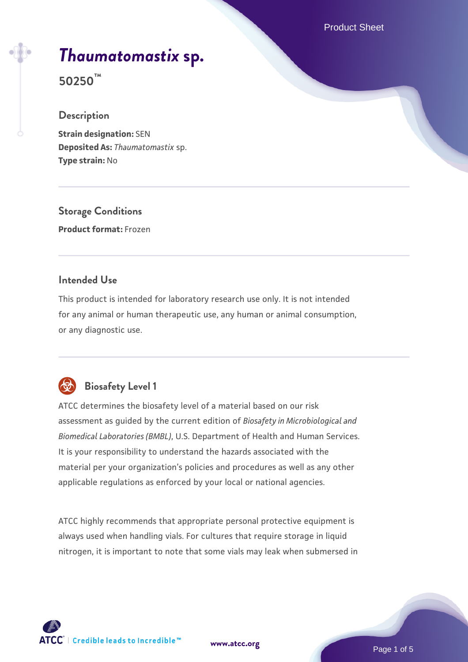Product Sheet

# *[Thaumatomastix](https://www.atcc.org/products/50250)* **[sp.](https://www.atcc.org/products/50250)**

**50250™**

# **Description**

**Strain designation:** SEN **Deposited As:** *Thaumatomastix* sp. **Type strain:** No

**Storage Conditions Product format:** Frozen

# **Intended Use**

This product is intended for laboratory research use only. It is not intended for any animal or human therapeutic use, any human or animal consumption, or any diagnostic use.



# **Biosafety Level 1**

ATCC determines the biosafety level of a material based on our risk assessment as guided by the current edition of *Biosafety in Microbiological and Biomedical Laboratories (BMBL)*, U.S. Department of Health and Human Services. It is your responsibility to understand the hazards associated with the material per your organization's policies and procedures as well as any other applicable regulations as enforced by your local or national agencies.

ATCC highly recommends that appropriate personal protective equipment is always used when handling vials. For cultures that require storage in liquid nitrogen, it is important to note that some vials may leak when submersed in

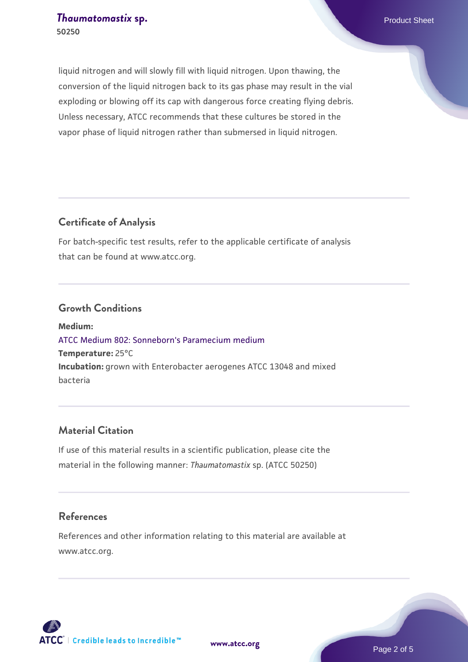liquid nitrogen and will slowly fill with liquid nitrogen. Upon thawing, the conversion of the liquid nitrogen back to its gas phase may result in the vial exploding or blowing off its cap with dangerous force creating flying debris. Unless necessary, ATCC recommends that these cultures be stored in the vapor phase of liquid nitrogen rather than submersed in liquid nitrogen.

# **Certificate of Analysis**

For batch-specific test results, refer to the applicable certificate of analysis that can be found at www.atcc.org.

## **Growth Conditions**

**Medium:**  [ATCC Medium 802: Sonneborn's Paramecium medium](https://www.atcc.org/-/media/product-assets/documents/microbial-media-formulations/8/0/2/atcc-medium-802.pdf?rev=73d25dbdd49b44529c8ac49753787d74) **Temperature:** 25°C **Incubation:** grown with Enterobacter aerogenes ATCC 13048 and mixed bacteria

# **Material Citation**

If use of this material results in a scientific publication, please cite the material in the following manner: *Thaumatomastix* sp. (ATCC 50250)

## **References**

References and other information relating to this material are available at www.atcc.org.



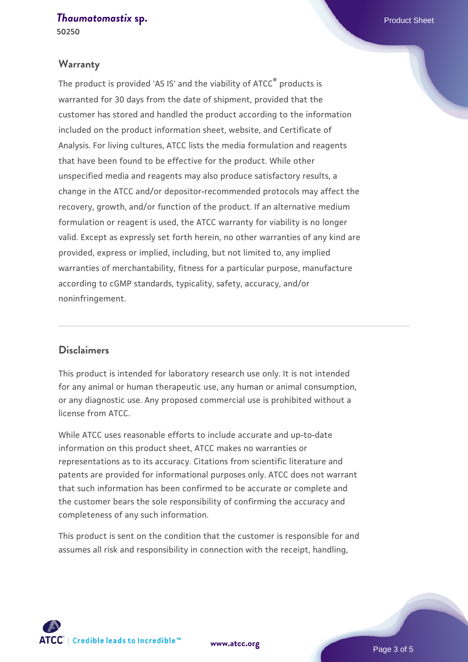**[Thaumatomastix](https://www.atcc.org/products/50250) [sp.](https://www.atcc.org/products/50250) Product Sheet Product Sheet 50250**

#### **Warranty**

The product is provided 'AS IS' and the viability of ATCC® products is warranted for 30 days from the date of shipment, provided that the customer has stored and handled the product according to the information included on the product information sheet, website, and Certificate of Analysis. For living cultures, ATCC lists the media formulation and reagents that have been found to be effective for the product. While other unspecified media and reagents may also produce satisfactory results, a change in the ATCC and/or depositor-recommended protocols may affect the recovery, growth, and/or function of the product. If an alternative medium formulation or reagent is used, the ATCC warranty for viability is no longer valid. Except as expressly set forth herein, no other warranties of any kind are provided, express or implied, including, but not limited to, any implied warranties of merchantability, fitness for a particular purpose, manufacture according to cGMP standards, typicality, safety, accuracy, and/or noninfringement.

## **Disclaimers**

This product is intended for laboratory research use only. It is not intended for any animal or human therapeutic use, any human or animal consumption, or any diagnostic use. Any proposed commercial use is prohibited without a license from ATCC.

While ATCC uses reasonable efforts to include accurate and up-to-date information on this product sheet, ATCC makes no warranties or representations as to its accuracy. Citations from scientific literature and patents are provided for informational purposes only. ATCC does not warrant that such information has been confirmed to be accurate or complete and the customer bears the sole responsibility of confirming the accuracy and completeness of any such information.

This product is sent on the condition that the customer is responsible for and assumes all risk and responsibility in connection with the receipt, handling,



**[www.atcc.org](http://www.atcc.org)**

Page 3 of 5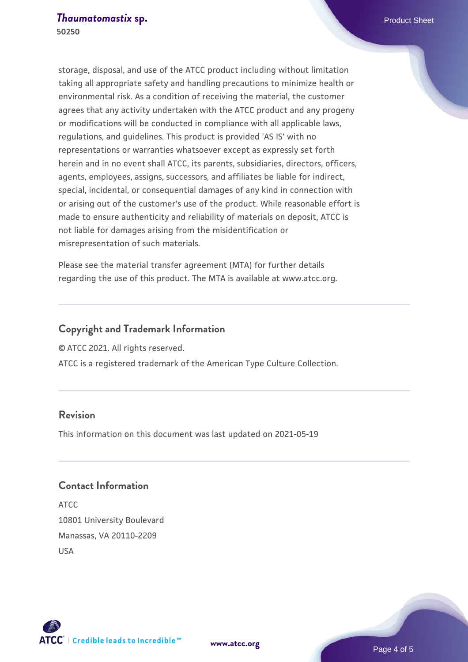storage, disposal, and use of the ATCC product including without limitation taking all appropriate safety and handling precautions to minimize health or environmental risk. As a condition of receiving the material, the customer agrees that any activity undertaken with the ATCC product and any progeny or modifications will be conducted in compliance with all applicable laws, regulations, and guidelines. This product is provided 'AS IS' with no representations or warranties whatsoever except as expressly set forth herein and in no event shall ATCC, its parents, subsidiaries, directors, officers, agents, employees, assigns, successors, and affiliates be liable for indirect, special, incidental, or consequential damages of any kind in connection with or arising out of the customer's use of the product. While reasonable effort is made to ensure authenticity and reliability of materials on deposit, ATCC is not liable for damages arising from the misidentification or misrepresentation of such materials.

Please see the material transfer agreement (MTA) for further details regarding the use of this product. The MTA is available at www.atcc.org.

# **Copyright and Trademark Information**

© ATCC 2021. All rights reserved.

ATCC is a registered trademark of the American Type Culture Collection.

# **Revision**

This information on this document was last updated on 2021-05-19

# **Contact Information**

ATCC 10801 University Boulevard Manassas, VA 20110-2209 USA



**[www.atcc.org](http://www.atcc.org)**